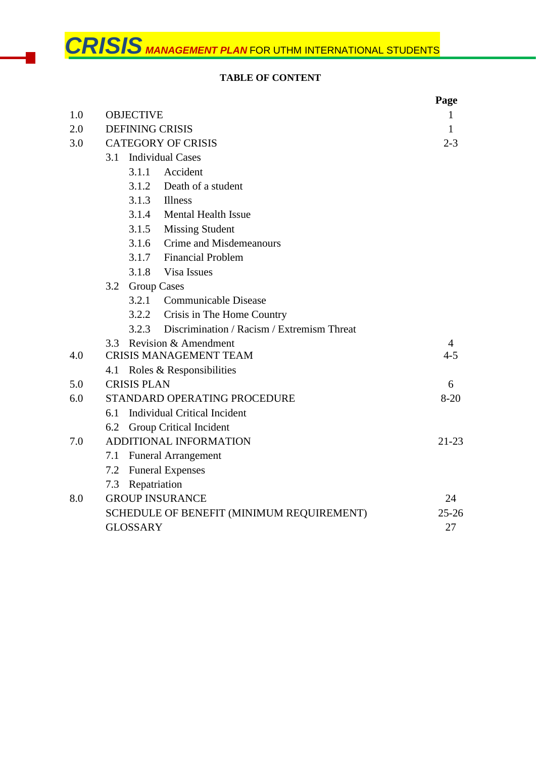# **TABLE OF CONTENT**

|     |                                                     | Page     |
|-----|-----------------------------------------------------|----------|
| 1.0 | <b>OBJECTIVE</b>                                    | 1        |
| 2.0 | <b>DEFINING CRISIS</b>                              | 1        |
| 3.0 | <b>CATEGORY OF CRISIS</b>                           | $2 - 3$  |
|     | <b>Individual Cases</b><br>3.1                      |          |
|     | 3.1.1 Accident                                      |          |
|     | 3.1.2 Death of a student                            |          |
|     | $3.1.3$ Illness                                     |          |
|     | <b>Mental Health Issue</b><br>3.1.4                 |          |
|     | 3.1.5<br><b>Missing Student</b>                     |          |
|     | Crime and Misdemeanours<br>3.1.6                    |          |
|     | 3.1.7 Financial Problem                             |          |
|     | 3.1.8<br>Visa Issues                                |          |
|     | 3.2 Group Cases                                     |          |
|     | 3.2.1 Communicable Disease                          |          |
|     | 3.2.2<br>Crisis in The Home Country                 |          |
|     | Discrimination / Racism / Extremism Threat<br>3.2.3 |          |
|     | Revision & Amendment<br>3.3                         | 4        |
| 4.0 | <b>CRISIS MANAGEMENT TEAM</b>                       | $4 - 5$  |
|     | 4.1 Roles & Responsibilities                        |          |
| 5.0 | <b>CRISIS PLAN</b>                                  | 6        |
| 6.0 | STANDARD OPERATING PROCEDURE                        | $8 - 20$ |
|     | <b>Individual Critical Incident</b><br>6.1          |          |
|     | 6.2 Group Critical Incident                         |          |
| 7.0 | ADDITIONAL INFORMATION                              | $21-23$  |
|     | <b>Funeral Arrangement</b><br>7.1                   |          |
|     | <b>Funeral Expenses</b><br>7.2                      |          |
|     | Repatriation<br>7.3                                 |          |
| 8.0 | <b>GROUP INSURANCE</b>                              | 24       |
|     | SCHEDULE OF BENEFIT (MINIMUM REQUIREMENT)           |          |
|     | <b>GLOSSARY</b>                                     | 27       |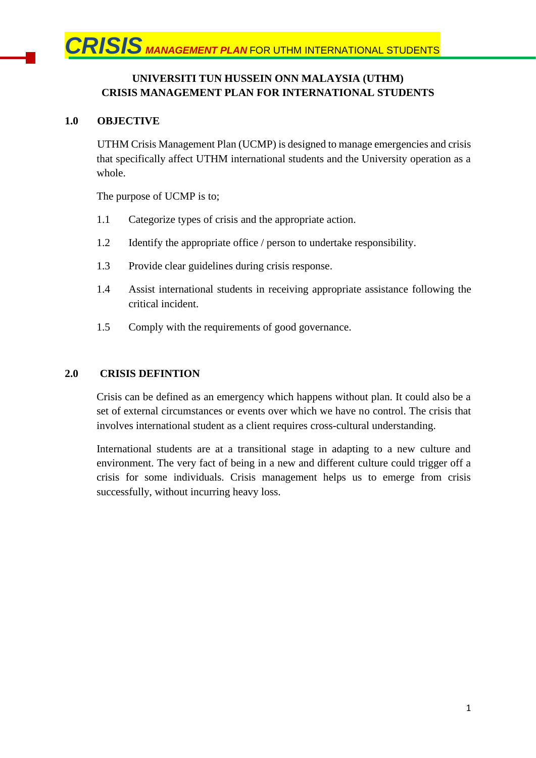# **UNIVERSITI TUN HUSSEIN ONN MALAYSIA (UTHM) CRISIS MANAGEMENT PLAN FOR INTERNATIONAL STUDENTS**

### **1.0 OBJECTIVE**

UTHM Crisis Management Plan (UCMP) is designed to manage emergencies and crisis that specifically affect UTHM international students and the University operation as a whole.

The purpose of UCMP is to;

- 1.1 Categorize types of crisis and the appropriate action.
- 1.2 Identify the appropriate office / person to undertake responsibility.
- 1.3 Provide clear guidelines during crisis response.
- 1.4 Assist international students in receiving appropriate assistance following the critical incident.
- 1.5 Comply with the requirements of good governance.

#### **2.0 CRISIS DEFINTION**

Crisis can be defined as an emergency which happens without plan. It could also be a set of external circumstances or events over which we have no control. The crisis that involves international student as a client requires cross-cultural understanding.

International students are at a transitional stage in adapting to a new culture and environment. The very fact of being in a new and different culture could trigger off a crisis for some individuals. Crisis management helps us to emerge from crisis successfully, without incurring heavy loss.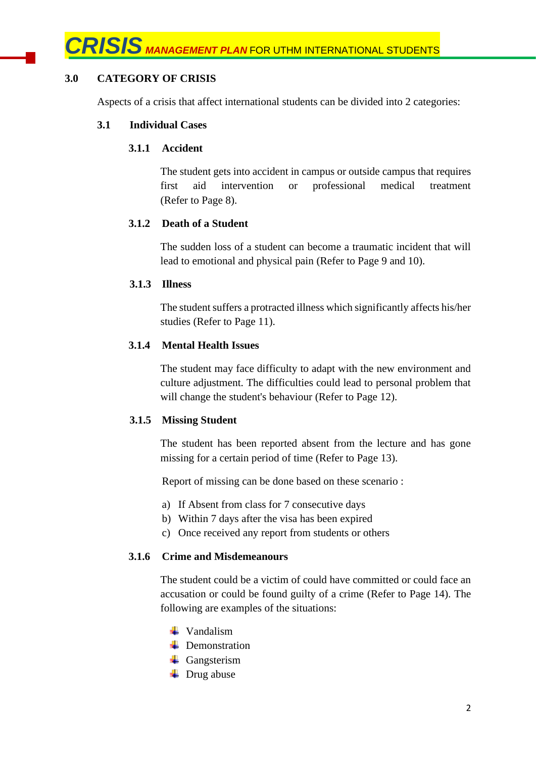### **3.0 CATEGORY OF CRISIS**

Aspects of a crisis that affect international students can be divided into 2 categories:

#### **3.1 Individual Cases**

### **3.1.1 Accident**

The student gets into accident in campus or outside campus that requires first aid intervention or professional medical treatment (Refer to Page 8).

### **3.1.2 Death of a Student**

The sudden loss of a student can become a traumatic incident that will lead to emotional and physical pain (Refer to Page 9 and 10).

#### **3.1.3 Illness**

The student suffers a protracted illness which significantly affects his/her studies (Refer to Page 11).

#### **3.1.4 Mental Health Issues**

The student may face difficulty to adapt with the new environment and culture adjustment. The difficulties could lead to personal problem that will change the student's behaviour (Refer to Page 12).

### **3.1.5 Missing Student**

The student has been reported absent from the lecture and has gone missing for a certain period of time (Refer to Page 13).

Report of missing can be done based on these scenario :

- a) If Absent from class for 7 consecutive days
- b) Within 7 days after the visa has been expired
- c) Once received any report from students or others

#### **3.1.6 Crime and Misdemeanours**

The student could be a victim of could have committed or could face an accusation or could be found guilty of a crime (Refer to Page 14). The following are examples of the situations:

- $\downarrow$  Vandalism
- **L** Demonstration
- Gangsterism
- $\overline{\phantom{a}}$  Drug abuse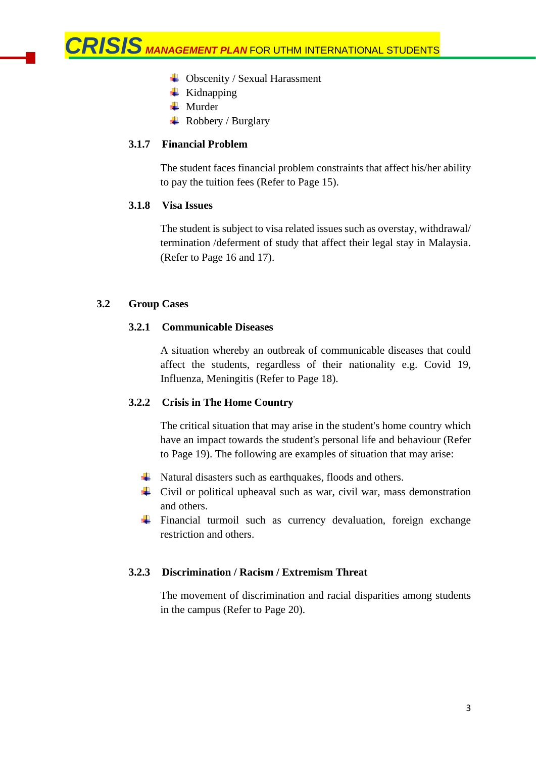- $\triangleq$  Obscenity / Sexual Harassment
- $\overline{\phantom{a}}$  Kidnapping
- **Murder**
- $\overline{\phantom{a}}$  Robbery / Burglary

#### **3.1.7 Financial Problem**

The student faces financial problem constraints that affect his/her ability to pay the tuition fees (Refer to Page 15).

#### **3.1.8 Visa Issues**

The student is subject to visa related issues such as overstay, withdrawal/ termination /deferment of study that affect their legal stay in Malaysia. (Refer to Page 16 and 17).

#### **3.2 Group Cases**

#### **3.2.1 Communicable Diseases**

A situation whereby an outbreak of communicable diseases that could affect the students, regardless of their nationality e.g. Covid 19, Influenza, Meningitis (Refer to Page 18).

### **3.2.2 Crisis in The Home Country**

The critical situation that may arise in the student's home country which have an impact towards the student's personal life and behaviour (Refer to Page 19). The following are examples of situation that may arise:

- $\downarrow$  Natural disasters such as earthquakes, floods and others.
- $\overline{\phantom{a}}$  Civil or political upheaval such as war, civil war, mass demonstration and others.
- $\ddot{\text{F}}$  Financial turmoil such as currency devaluation, foreign exchange restriction and others.

#### **3.2.3 Discrimination / Racism / Extremism Threat**

The movement of discrimination and racial disparities among students in the campus (Refer to Page 20).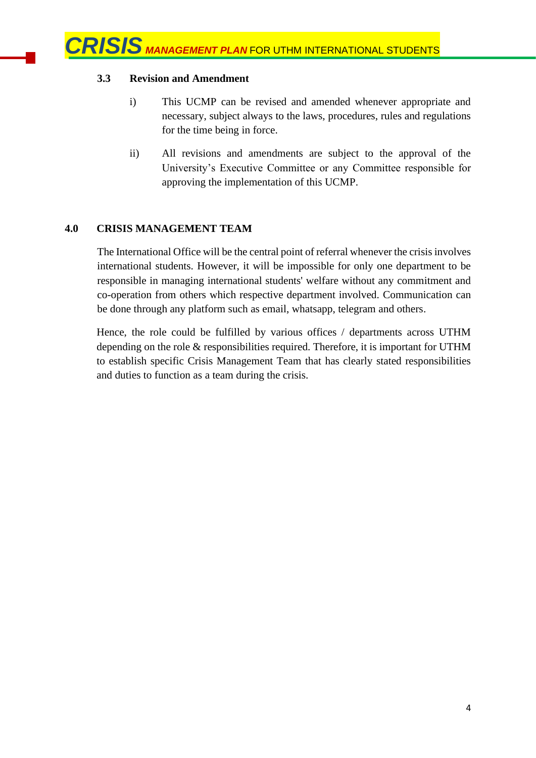## **3.3 Revision and Amendment**

- i) This UCMP can be revised and amended whenever appropriate and necessary, subject always to the laws, procedures, rules and regulations for the time being in force.
- ii) All revisions and amendments are subject to the approval of the University's Executive Committee or any Committee responsible for approving the implementation of this UCMP.

### **4.0 CRISIS MANAGEMENT TEAM**

The International Office will be the central point of referral whenever the crisis involves international students. However, it will be impossible for only one department to be responsible in managing international students' welfare without any commitment and co-operation from others which respective department involved. Communication can be done through any platform such as email, whatsapp, telegram and others.

Hence, the role could be fulfilled by various offices / departments across UTHM depending on the role & responsibilities required. Therefore, it is important for UTHM to establish specific Crisis Management Team that has clearly stated responsibilities and duties to function as a team during the crisis.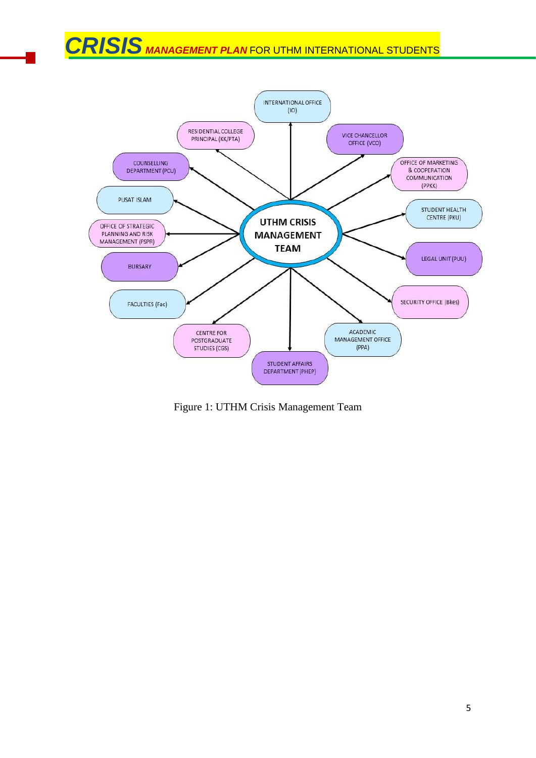

Figure 1: UTHM Crisis Management Team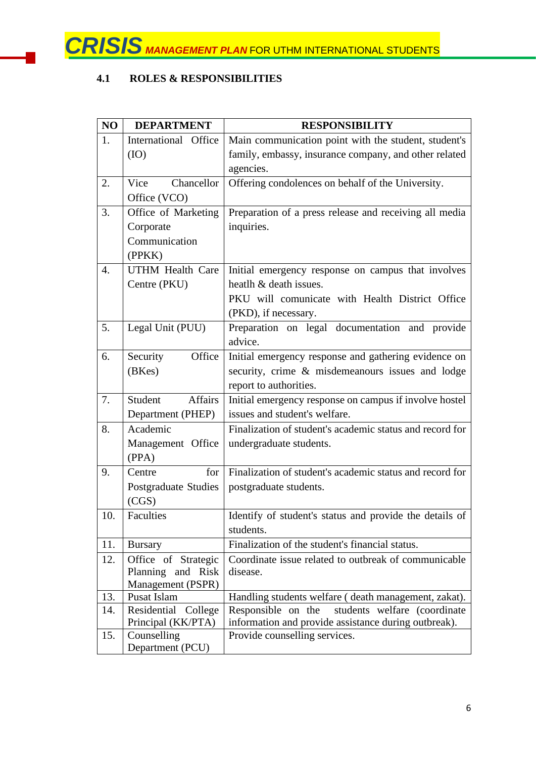# **4.1 ROLES & RESPONSIBILITIES**

| NO  | <b>DEPARTMENT</b>                | <b>RESPONSIBILITY</b>                                    |  |
|-----|----------------------------------|----------------------------------------------------------|--|
| 1.  | International<br>Office          | Main communication point with the student, student's     |  |
|     | (IO)                             | family, embassy, insurance company, and other related    |  |
|     |                                  | agencies.                                                |  |
| 2.  | Chancellor<br>Vice               | Offering condolences on behalf of the University.        |  |
|     | Office (VCO)                     |                                                          |  |
| 3.  | Office of Marketing              | Preparation of a press release and receiving all media   |  |
|     | Corporate                        | inquiries.                                               |  |
|     | Communication                    |                                                          |  |
|     | (PPKK)                           |                                                          |  |
| 4.  | <b>UTHM Health Care</b>          | Initial emergency response on campus that involves       |  |
|     | Centre (PKU)                     | heatlh & death issues.                                   |  |
|     |                                  | PKU will comunicate with Health District Office          |  |
|     |                                  | (PKD), if necessary.                                     |  |
| 5.  | Legal Unit (PUU)                 | Preparation on legal documentation and provide           |  |
|     |                                  | advice.                                                  |  |
| 6.  | Security<br>Office               | Initial emergency response and gathering evidence on     |  |
|     | (BKes)                           | security, crime & misdemeanours issues and lodge         |  |
|     |                                  | report to authorities.                                   |  |
| 7.  | Student<br><b>Affairs</b>        | Initial emergency response on campus if involve hostel   |  |
|     | Department (PHEP)                | issues and student's welfare.                            |  |
| 8.  | Academic                         | Finalization of student's academic status and record for |  |
|     | Management Office                | undergraduate students.                                  |  |
|     | (PPA)                            |                                                          |  |
| 9.  | for<br>Centre                    | Finalization of student's academic status and record for |  |
|     | <b>Postgraduate Studies</b>      | postgraduate students.                                   |  |
|     | (CGS)                            |                                                          |  |
| 10. | Faculties                        | Identify of student's status and provide the details of  |  |
|     |                                  | students.                                                |  |
| 11. | <b>Bursary</b>                   | Finalization of the student's financial status.          |  |
| 12. | Office of Strategic              | Coordinate issue related to outbreak of communicable     |  |
|     | Planning and Risk                | disease.                                                 |  |
| 13. | Management (PSPR)<br>Pusat Islam | Handling students welfare (death management, zakat).     |  |
| 14. | Residential<br>College           | students welfare (coordinate<br>Responsible on the       |  |
|     | Principal (KK/PTA)               | information and provide assistance during outbreak).     |  |
| 15. | Counselling                      | Provide counselling services.                            |  |
|     | Department (PCU)                 |                                                          |  |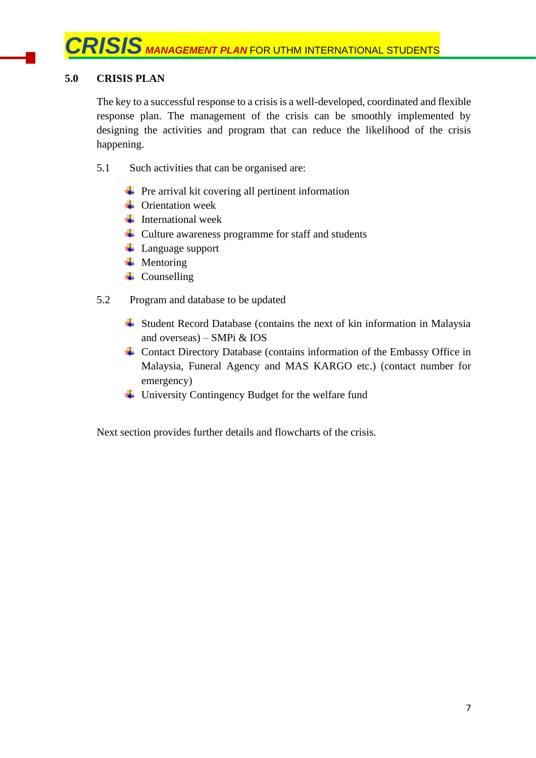# **5.0 CRISIS PLAN**

The key to a successful response to a crisis is a well-developed, coordinated and flexible response plan. The management of the crisis can be smoothly implemented by designing the activities and program that can reduce the likelihood of the crisis happening.

- 5.1 Such activities that can be organised are:
	- $\overline{\phantom{a}}$  Pre arrival kit covering all pertinent information
	- $\triangle$  Orientation week
	- $\ddagger$  International week
	- $\overline{\phantom{a}}$  Culture awareness programme for staff and students
	- **↓** Language support
	- $\downarrow$  Mentoring
	- $\leftarrow$  Counselling
- 5.2 Program and database to be updated
	- $\overline{\phantom{a}}$  Student Record Database (contains the next of kin information in Malaysia and overseas) – SMPi & IOS
	- Contact Directory Database (contains information of the Embassy Office in Malaysia, Funeral Agency and MAS KARGO etc.) (contact number for emergency)
	- University Contingency Budget for the welfare fund

Next section provides further details and flowcharts of the crisis.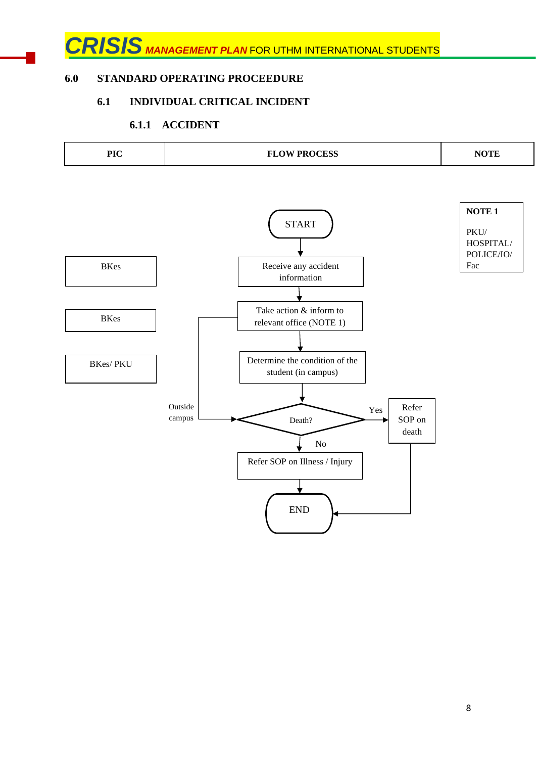# **6.0 STANDARD OPERATING PROCEEDURE**

# **6.1 INDIVIDUAL CRITICAL INCIDENT**

# **6.1.1 ACCIDENT**

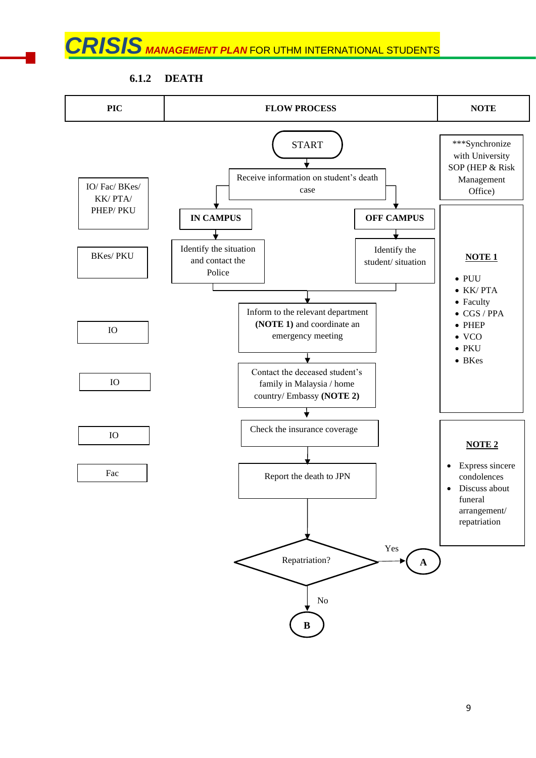**6.1.2 DEATH**

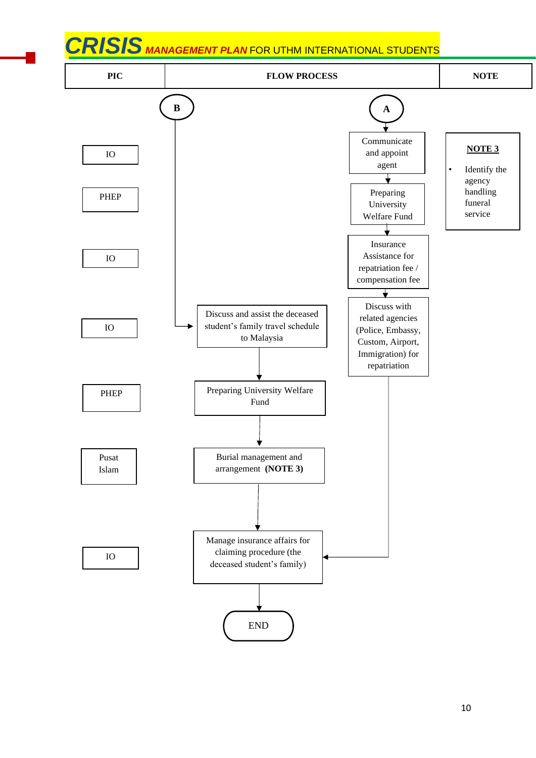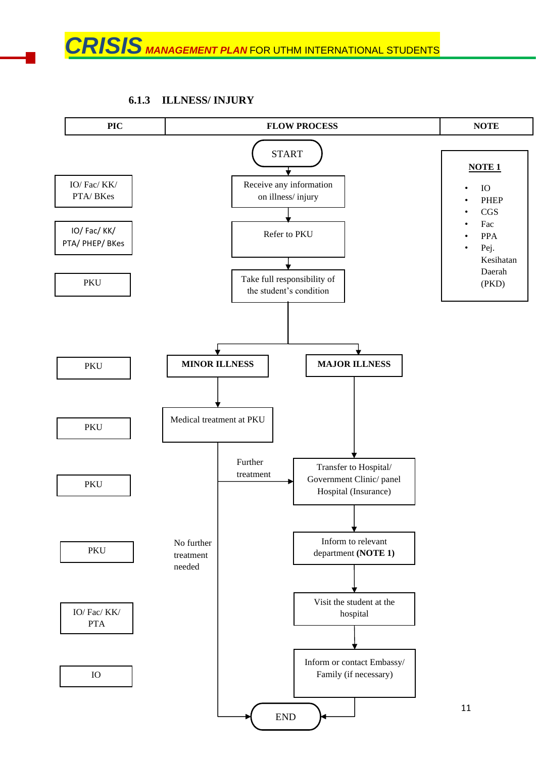## **6.1.3 ILLNESS/ INJURY**

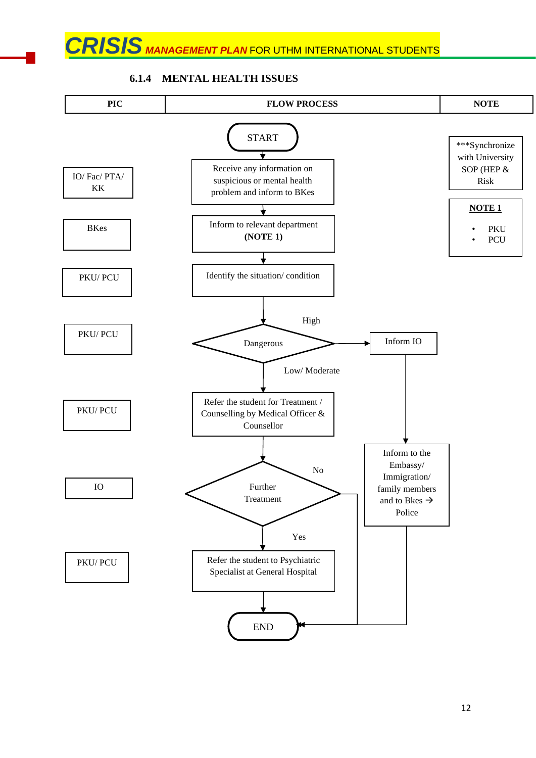

# **6.1.4 MENTAL HEALTH ISSUES**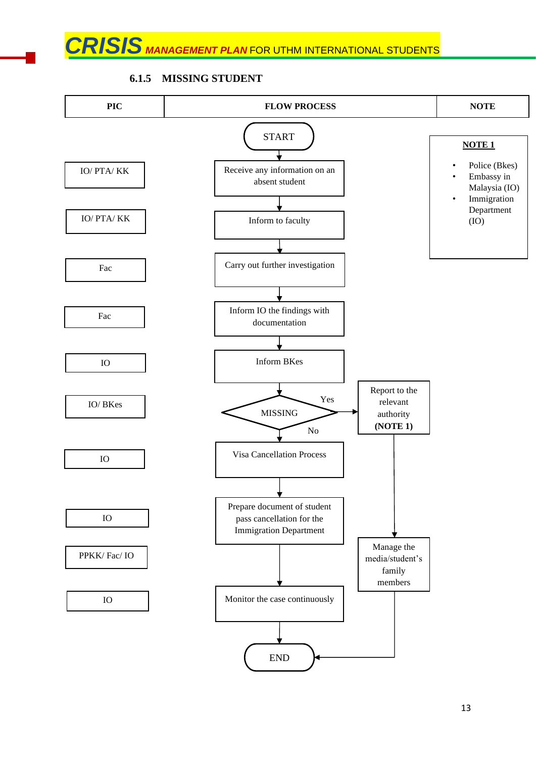**6.1.5 MISSING STUDENT**

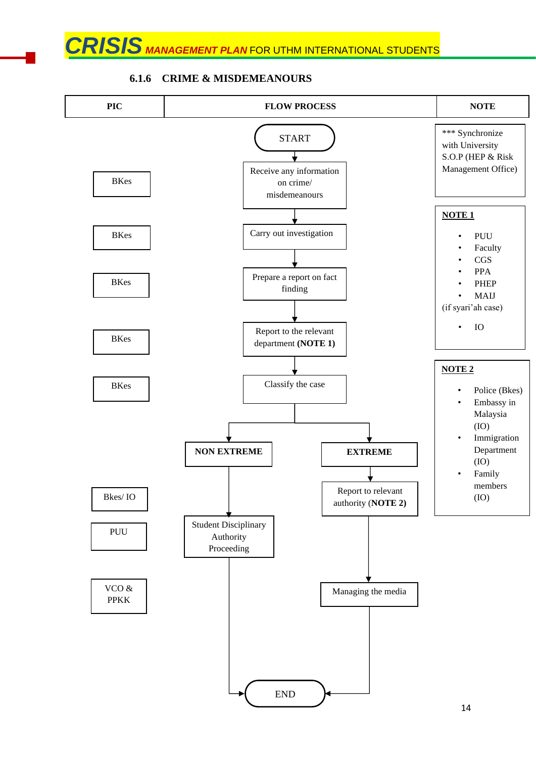

#### **6.1.6 CRIME & MISDEMEANOURS**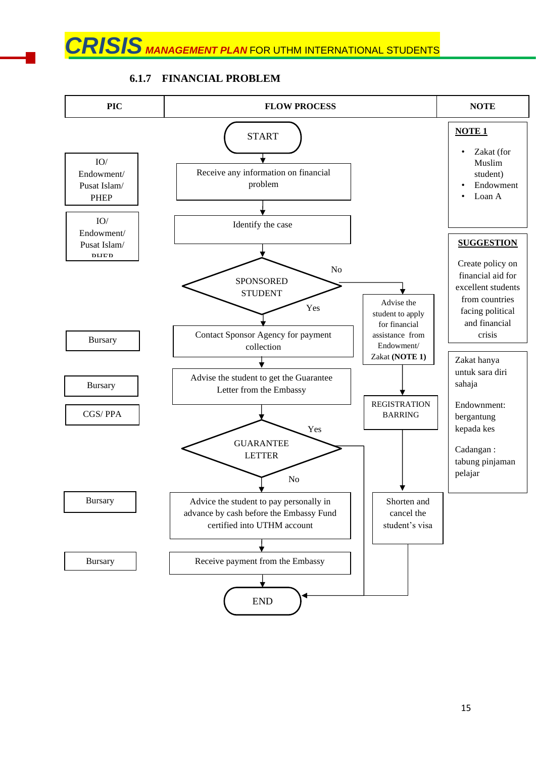

### **6.1.7 FINANCIAL PROBLEM**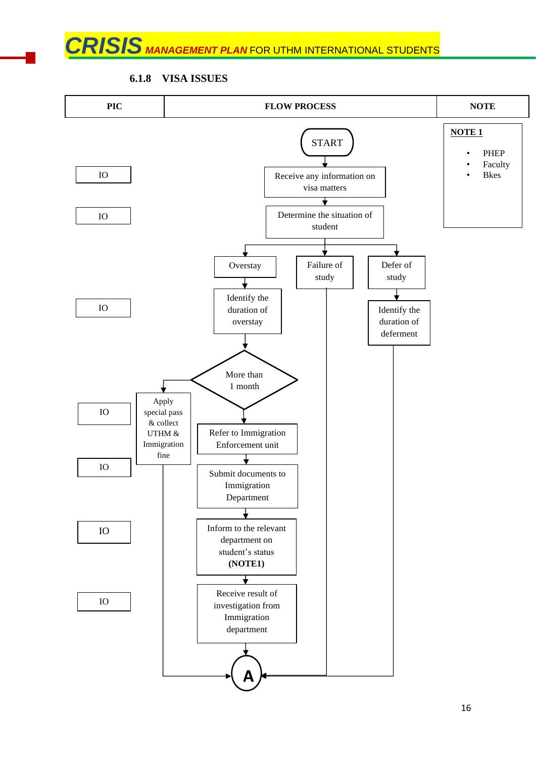**PIC FLOW PROCESS NOTE NOTE 1** START • PHEP **Faculty** IO Receive any information on • Bkes visa matters ⋥ Determine the situation of IO student Overstay | Failure of Defer of study study Identify the IO duration of Identify the overstay duration of deferment More than 1 month Apply IO special pass & collect UTHM & Refer to Immigration Immigration Enforcement unit fine IO Submit documents to Immigration Department ╈ Inform to the relevant IO department on student's status **(NOTE1)** ∓ Receive result of IO investigation from Immigration department **A**

### **6.1.8 VISA ISSUES**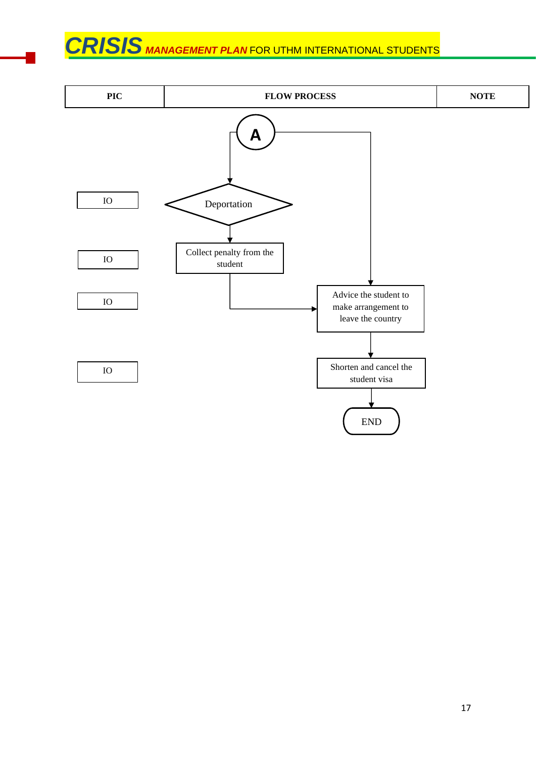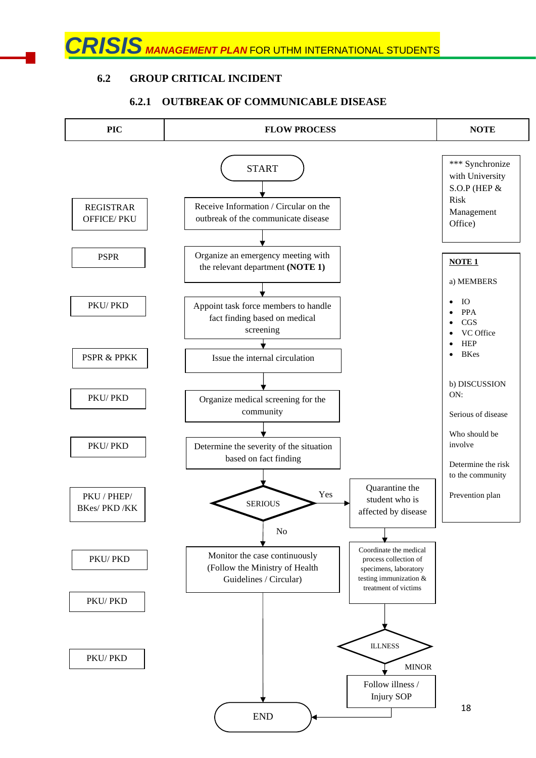# **6.2 GROUP CRITICAL INCIDENT**

#### 18 **PIC FLOW PROCESS NOTE** START Receive Information / Circular on the outbreak of the communicate disease Organize an emergency meeting with the relevant department **(NOTE 1)** Appoint task force members to handle fact finding based on medical screening Issue the internal circulation Organize medical screening for the community Determine the severity of the situation based on fact finding SERIOUS Coordinate the medical process collection of specimens, laboratory testing immunization & treatment of victims ILLNESS Follow illness / Injury SOP END Monitor the case continuously (Follow the Ministry of Health Guidelines / Circular) Quarantine the student who is affected by disease Yes No MINOR \*\*\* Synchronize with University S.O.P (HEP & Risk Management Office) **NOTE 1** a) MEMBERS • IO • PPA • CGS VC Office • HEP • BKes b) DISCUSSION ON: Serious of disease Who should be involve Determine the risk to the community Prevention plan REGISTRAR OFFICE/ PKU PSPR PKU/ PKD PSPR & PPKK PKU/ PKD PKU/ PKD PKU / PHEP/ BKes/ PKD /KK PKU/ PKD PKU/ PKD PKU/ PKD

# **6.2.1 OUTBREAK OF COMMUNICABLE DISEASE**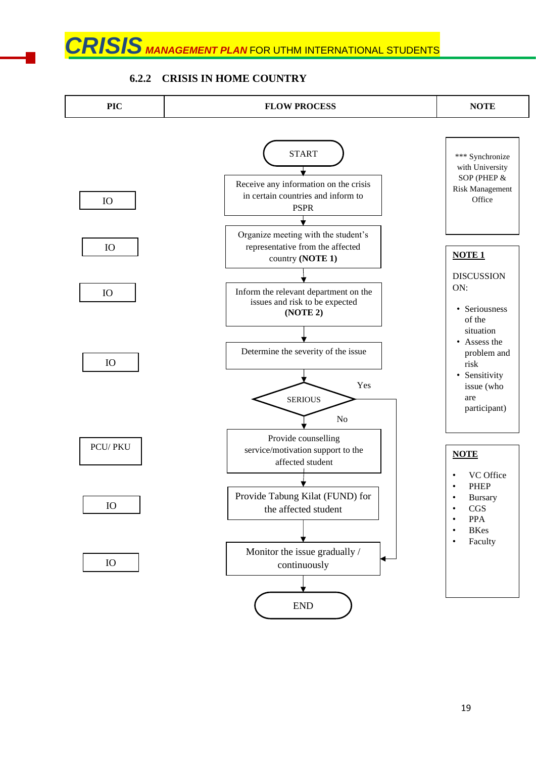#### **6.2.2 CRISIS IN HOME COUNTRY**

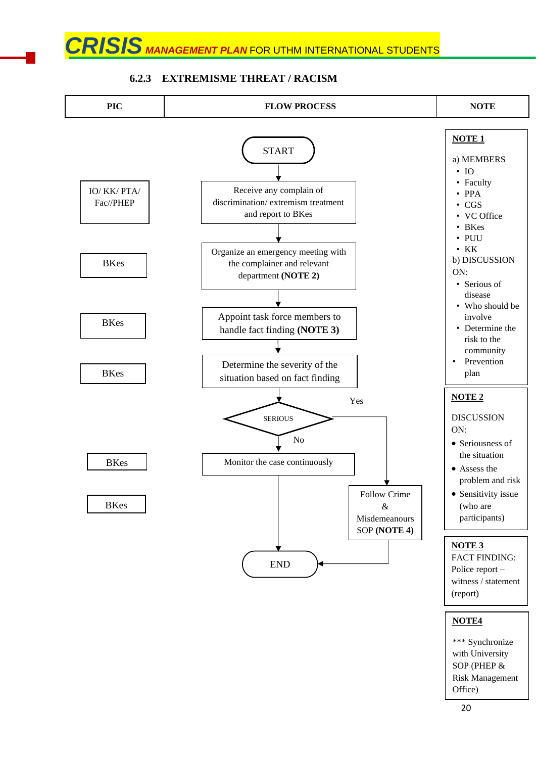

### **6.2.3 EXTREMISME THREAT / RACISM**

#### 20

Office)

**NOTE4**

\*\*\* Synchronize with University SOP (PHEP & Risk Management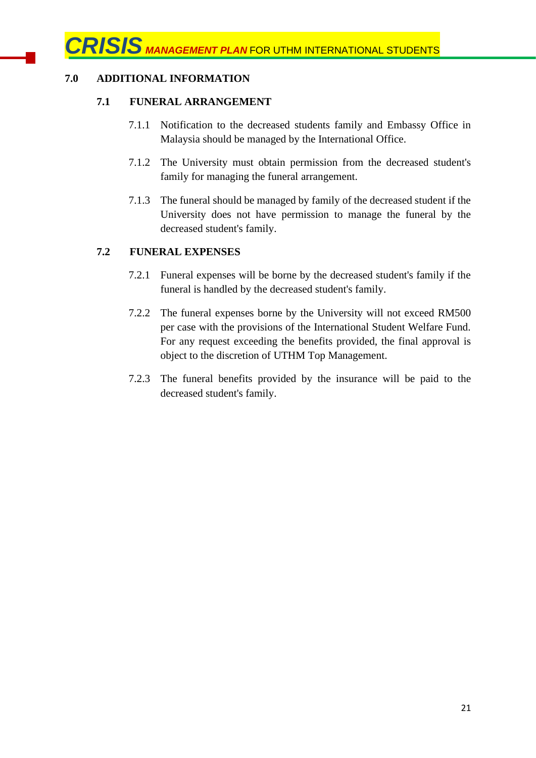# **7.0 ADDITIONAL INFORMATION**

### **7.1 FUNERAL ARRANGEMENT**

- 7.1.1 Notification to the decreased students family and Embassy Office in Malaysia should be managed by the International Office.
- 7.1.2 The University must obtain permission from the decreased student's family for managing the funeral arrangement.
- 7.1.3 The funeral should be managed by family of the decreased student if the University does not have permission to manage the funeral by the decreased student's family.

## **7.2 FUNERAL EXPENSES**

- 7.2.1 Funeral expenses will be borne by the decreased student's family if the funeral is handled by the decreased student's family.
- 7.2.2 The funeral expenses borne by the University will not exceed RM500 per case with the provisions of the International Student Welfare Fund. For any request exceeding the benefits provided, the final approval is object to the discretion of UTHM Top Management.
- 7.2.3 The funeral benefits provided by the insurance will be paid to the decreased student's family.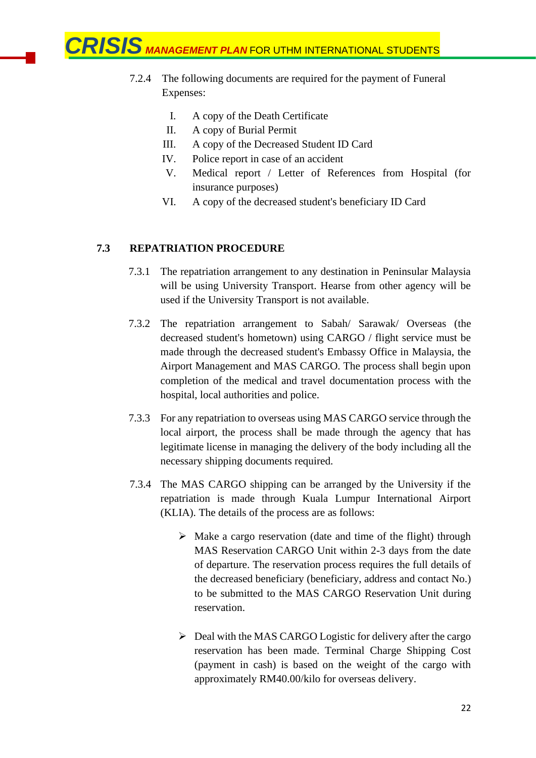- 7.2.4 The following documents are required for the payment of Funeral Expenses:
	- I. A copy of the Death Certificate
	- II. A copy of Burial Permit
	- III. A copy of the Decreased Student ID Card
	- IV. Police report in case of an accident
	- V. Medical report / Letter of References from Hospital (for insurance purposes)
	- VI. A copy of the decreased student's beneficiary ID Card

## **7.3 REPATRIATION PROCEDURE**

- 7.3.1 The repatriation arrangement to any destination in Peninsular Malaysia will be using University Transport. Hearse from other agency will be used if the University Transport is not available.
- 7.3.2 The repatriation arrangement to Sabah/ Sarawak/ Overseas (the decreased student's hometown) using CARGO / flight service must be made through the decreased student's Embassy Office in Malaysia, the Airport Management and MAS CARGO. The process shall begin upon completion of the medical and travel documentation process with the hospital, local authorities and police.
- 7.3.3 For any repatriation to overseas using MAS CARGO service through the local airport, the process shall be made through the agency that has legitimate license in managing the delivery of the body including all the necessary shipping documents required.
- 7.3.4 The MAS CARGO shipping can be arranged by the University if the repatriation is made through Kuala Lumpur International Airport (KLIA). The details of the process are as follows:
	- ➢ Make a cargo reservation (date and time of the flight) through MAS Reservation CARGO Unit within 2-3 days from the date of departure. The reservation process requires the full details of the decreased beneficiary (beneficiary, address and contact No.) to be submitted to the MAS CARGO Reservation Unit during reservation.
	- ➢ Deal with the MAS CARGO Logistic for delivery after the cargo reservation has been made. Terminal Charge Shipping Cost (payment in cash) is based on the weight of the cargo with approximately RM40.00/kilo for overseas delivery.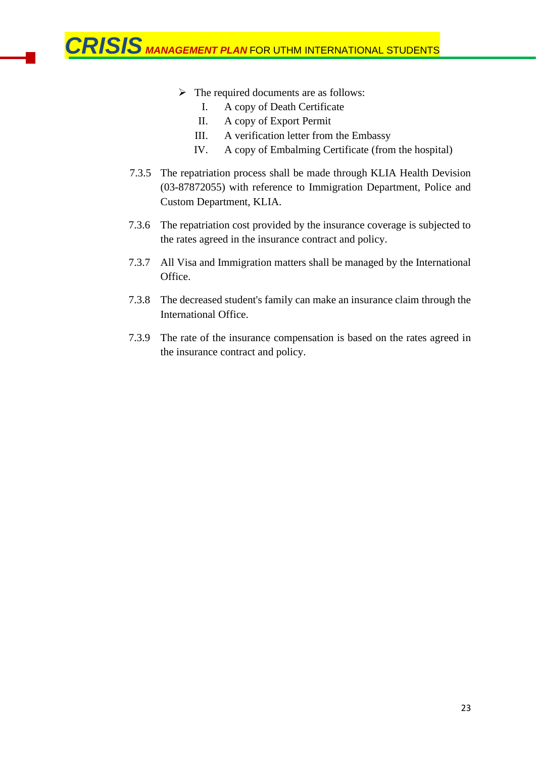- ➢ The required documents are as follows:
	- I. A copy of Death Certificate
	- II. A copy of Export Permit
	- III. A verification letter from the Embassy
	- IV. A copy of Embalming Certificate (from the hospital)
- 7.3.5 The repatriation process shall be made through KLIA Health Devision (03-87872055) with reference to Immigration Department, Police and Custom Department, KLIA.
- 7.3.6 The repatriation cost provided by the insurance coverage is subjected to the rates agreed in the insurance contract and policy.
- 7.3.7 All Visa and Immigration matters shall be managed by the International Office.
- 7.3.8 The decreased student's family can make an insurance claim through the International Office.
- 7.3.9 The rate of the insurance compensation is based on the rates agreed in the insurance contract and policy.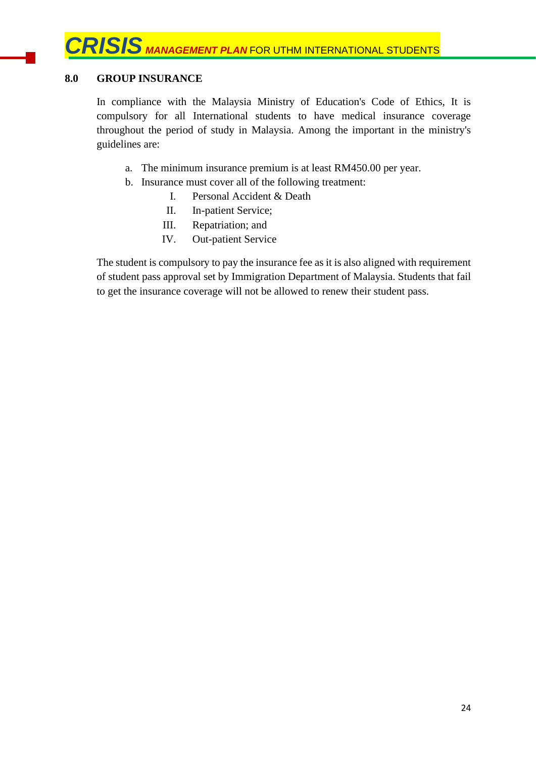# **8.0 GROUP INSURANCE**

In compliance with the Malaysia Ministry of Education's Code of Ethics, It is compulsory for all International students to have medical insurance coverage throughout the period of study in Malaysia. Among the important in the ministry's guidelines are:

- a. The minimum insurance premium is at least RM450.00 per year.
- b. Insurance must cover all of the following treatment:
	- I. Personal Accident & Death
	- II. In-patient Service;
	- III. Repatriation; and
	- IV. Out-patient Service

The student is compulsory to pay the insurance fee as it is also aligned with requirement of student pass approval set by Immigration Department of Malaysia. Students that fail to get the insurance coverage will not be allowed to renew their student pass.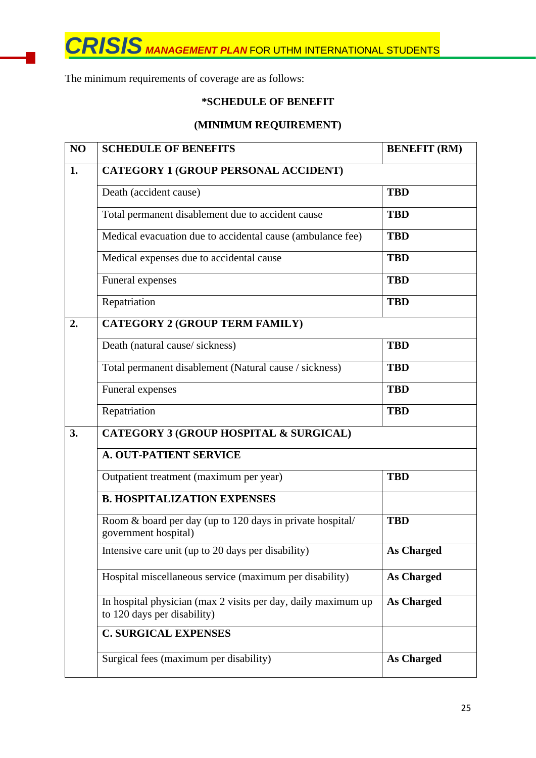The minimum requirements of coverage are as follows:

# **\*SCHEDULE OF BENEFIT**

# **(MINIMUM REQUIREMENT)**

| NO | <b>SCHEDULE OF BENEFITS</b>                                                                   | <b>BENEFIT (RM)</b> |  |  |
|----|-----------------------------------------------------------------------------------------------|---------------------|--|--|
| 1. | <b>CATEGORY 1 (GROUP PERSONAL ACCIDENT)</b>                                                   |                     |  |  |
|    | Death (accident cause)                                                                        | <b>TBD</b>          |  |  |
|    | Total permanent disablement due to accident cause                                             | <b>TBD</b>          |  |  |
|    | Medical evacuation due to accidental cause (ambulance fee)                                    | <b>TBD</b>          |  |  |
|    | Medical expenses due to accidental cause                                                      | <b>TBD</b>          |  |  |
|    | Funeral expenses                                                                              | <b>TBD</b>          |  |  |
|    | Repatriation                                                                                  | <b>TBD</b>          |  |  |
| 2. | <b>CATEGORY 2 (GROUP TERM FAMILY)</b>                                                         |                     |  |  |
|    | Death (natural cause/sickness)                                                                | <b>TBD</b>          |  |  |
|    | Total permanent disablement (Natural cause / sickness)                                        | <b>TBD</b>          |  |  |
|    | Funeral expenses                                                                              | <b>TBD</b>          |  |  |
|    | Repatriation                                                                                  | <b>TBD</b>          |  |  |
| 3. | <b>CATEGORY 3 (GROUP HOSPITAL &amp; SURGICAL)</b>                                             |                     |  |  |
|    | <b>A. OUT-PATIENT SERVICE</b>                                                                 |                     |  |  |
|    | Outpatient treatment (maximum per year)                                                       | <b>TBD</b>          |  |  |
|    | <b>B. HOSPITALIZATION EXPENSES</b>                                                            |                     |  |  |
|    | Room & board per day (up to 120 days in private hospital/<br>government hospital)             | <b>TBD</b>          |  |  |
|    | Intensive care unit (up to 20 days per disability)                                            | <b>As Charged</b>   |  |  |
|    | Hospital miscellaneous service (maximum per disability)                                       | <b>As Charged</b>   |  |  |
|    | In hospital physician (max 2 visits per day, daily maximum up)<br>to 120 days per disability) | <b>As Charged</b>   |  |  |
|    | <b>C. SURGICAL EXPENSES</b>                                                                   |                     |  |  |
|    | Surgical fees (maximum per disability)                                                        | <b>As Charged</b>   |  |  |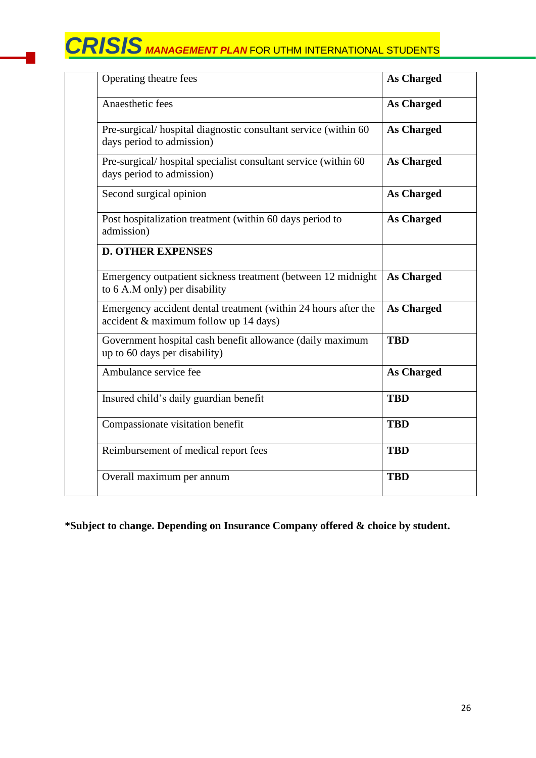| Operating theatre fees                                                                                  | <b>As Charged</b> |
|---------------------------------------------------------------------------------------------------------|-------------------|
| Anaesthetic fees                                                                                        | <b>As Charged</b> |
| Pre-surgical/hospital diagnostic consultant service (within 60)<br>days period to admission)            | <b>As Charged</b> |
| Pre-surgical/hospital specialist consultant service (within 60)<br>days period to admission)            | <b>As Charged</b> |
| Second surgical opinion                                                                                 | <b>As Charged</b> |
| Post hospitalization treatment (within 60 days period to<br>admission)                                  | <b>As Charged</b> |
| <b>D. OTHER EXPENSES</b>                                                                                |                   |
| Emergency outpatient sickness treatment (between 12 midnight<br>to 6 A.M only) per disability           | <b>As Charged</b> |
| Emergency accident dental treatment (within 24 hours after the<br>accident & maximum follow up 14 days) | <b>As Charged</b> |
| Government hospital cash benefit allowance (daily maximum<br>up to 60 days per disability)              | <b>TBD</b>        |
| Ambulance service fee                                                                                   | <b>As Charged</b> |
| Insured child's daily guardian benefit                                                                  | <b>TBD</b>        |
| Compassionate visitation benefit                                                                        | <b>TBD</b>        |
| Reimbursement of medical report fees                                                                    | <b>TBD</b>        |
| Overall maximum per annum                                                                               | <b>TBD</b>        |

**\*Subject to change. Depending on Insurance Company offered & choice by student.**